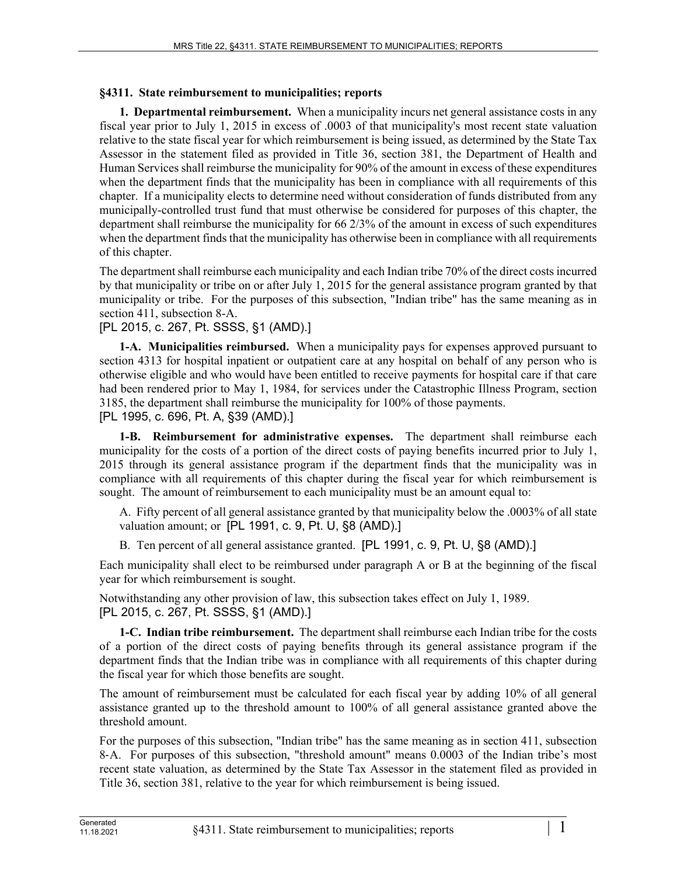## **§4311. State reimbursement to municipalities; reports**

**1. Departmental reimbursement.** When a municipality incurs net general assistance costs in any fiscal year prior to July 1, 2015 in excess of .0003 of that municipality's most recent state valuation relative to the state fiscal year for which reimbursement is being issued, as determined by the State Tax Assessor in the statement filed as provided in Title 36, section 381, the Department of Health and Human Services shall reimburse the municipality for 90% of the amount in excess of these expenditures when the department finds that the municipality has been in compliance with all requirements of this chapter. If a municipality elects to determine need without consideration of funds distributed from any municipally-controlled trust fund that must otherwise be considered for purposes of this chapter, the department shall reimburse the municipality for 66 2/3% of the amount in excess of such expenditures when the department finds that the municipality has otherwise been in compliance with all requirements of this chapter.

The department shall reimburse each municipality and each Indian tribe 70% of the direct costs incurred by that municipality or tribe on or after July 1, 2015 for the general assistance program granted by that municipality or tribe. For the purposes of this subsection, "Indian tribe" has the same meaning as in section 411, subsection 8-A.

[PL 2015, c. 267, Pt. SSSS, §1 (AMD).]

**1-A. Municipalities reimbursed.** When a municipality pays for expenses approved pursuant to section 4313 for hospital inpatient or outpatient care at any hospital on behalf of any person who is otherwise eligible and who would have been entitled to receive payments for hospital care if that care had been rendered prior to May 1, 1984, for services under the Catastrophic Illness Program, section 3185, the department shall reimburse the municipality for 100% of those payments. [PL 1995, c. 696, Pt. A, §39 (AMD).]

**1-B. Reimbursement for administrative expenses.** The department shall reimburse each municipality for the costs of a portion of the direct costs of paying benefits incurred prior to July 1, 2015 through its general assistance program if the department finds that the municipality was in compliance with all requirements of this chapter during the fiscal year for which reimbursement is sought. The amount of reimbursement to each municipality must be an amount equal to:

A. Fifty percent of all general assistance granted by that municipality below the .0003% of all state valuation amount; or [PL 1991, c. 9, Pt. U, §8 (AMD).]

B. Ten percent of all general assistance granted. [PL 1991, c. 9, Pt. U, §8 (AMD).]

Each municipality shall elect to be reimbursed under paragraph A or B at the beginning of the fiscal year for which reimbursement is sought.

Notwithstanding any other provision of law, this subsection takes effect on July 1, 1989. [PL 2015, c. 267, Pt. SSSS, §1 (AMD).]

**1-C. Indian tribe reimbursement.** The department shall reimburse each Indian tribe for the costs of a portion of the direct costs of paying benefits through its general assistance program if the department finds that the Indian tribe was in compliance with all requirements of this chapter during the fiscal year for which those benefits are sought.

The amount of reimbursement must be calculated for each fiscal year by adding 10% of all general assistance granted up to the threshold amount to 100% of all general assistance granted above the threshold amount.

For the purposes of this subsection, "Indian tribe" has the same meaning as in section 411, subsection 8‑A. For purposes of this subsection, "threshold amount" means 0.0003 of the Indian tribe's most recent state valuation, as determined by the State Tax Assessor in the statement filed as provided in Title 36, section 381, relative to the year for which reimbursement is being issued.